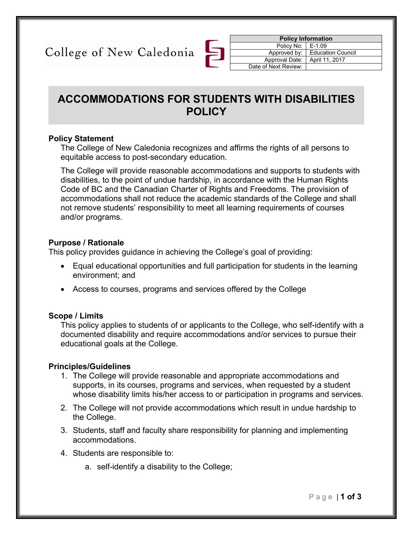College of New Caledonia

| <b>Policy Information</b> |                          |  |
|---------------------------|--------------------------|--|
| Policy No: E-1.09         |                          |  |
| Approved by:              | <b>Education Council</b> |  |
| Approval Date:            | April 11, 2017           |  |
| Date of Next Review:      |                          |  |
|                           |                          |  |

# **ACCOMMODATIONS FOR STUDENTS WITH DISABILITIES POLICY**

#### **Policy Statement**

The College of New Caledonia recognizes and affirms the rights of all persons to equitable access to post-secondary education.

The College will provide reasonable accommodations and supports to students with disabilities, to the point of undue hardship, in accordance with the Human Rights Code of BC and the Canadian Charter of Rights and Freedoms. The provision of accommodations shall not reduce the academic standards of the College and shall not remove students' responsibility to meet all learning requirements of courses and/or programs.

#### **Purpose / Rationale**

This policy provides guidance in achieving the College's goal of providing:

- Equal educational opportunities and full participation for students in the learning environment; and
- Access to courses, programs and services offered by the College

#### **Scope / Limits**

This policy applies to students of or applicants to the College, who self-identify with a documented disability and require accommodations and/or services to pursue their educational goals at the College.

#### **Principles/Guidelines**

- 1. The College will provide reasonable and appropriate accommodations and supports, in its courses, programs and services, when requested by a student whose disability limits his/her access to or participation in programs and services.
- 2. The College will not provide accommodations which result in undue hardship to the College.
- 3. Students, staff and faculty share responsibility for planning and implementing accommodations.
- 4. Students are responsible to:
	- a. self-identify a disability to the College;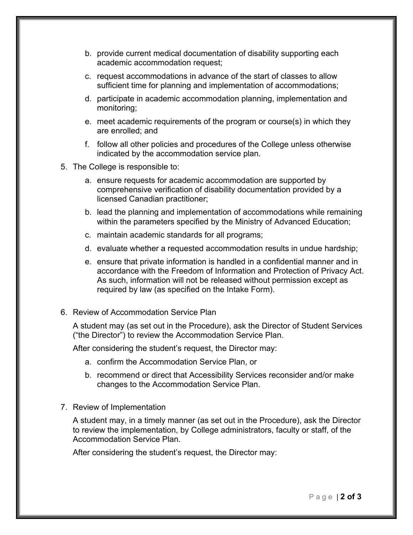- b. provide current medical documentation of disability supporting each academic accommodation request;
- c. request accommodations in advance of the start of classes to allow sufficient time for planning and implementation of accommodations;
- d. participate in academic accommodation planning, implementation and monitoring;
- e. meet academic requirements of the program or course(s) in which they are enrolled; and
- f. follow all other policies and procedures of the College unless otherwise indicated by the accommodation service plan.
- 5. The College is responsible to:
	- a. ensure requests for academic accommodation are supported by comprehensive verification of disability documentation provided by a licensed Canadian practitioner;
	- b. lead the planning and implementation of accommodations while remaining within the parameters specified by the Ministry of Advanced Education;
	- c. maintain academic standards for all programs;
	- d. evaluate whether a requested accommodation results in undue hardship;
	- e. ensure that private information is handled in a confidential manner and in accordance with the Freedom of Information and Protection of Privacy Act. As such, information will not be released without permission except as required by law (as specified on the Intake Form).
- 6. Review of Accommodation Service Plan

A student may (as set out in the Procedure), ask the Director of Student Services ("the Director") to review the Accommodation Service Plan.

After considering the student's request, the Director may:

- a. confirm the Accommodation Service Plan, or
- b. recommend or direct that Accessibility Services reconsider and/or make changes to the Accommodation Service Plan.
- 7. Review of Implementation

A student may, in a timely manner (as set out in the Procedure), ask the Director to review the implementation, by College administrators, faculty or staff, of the Accommodation Service Plan.

After considering the student's request, the Director may: